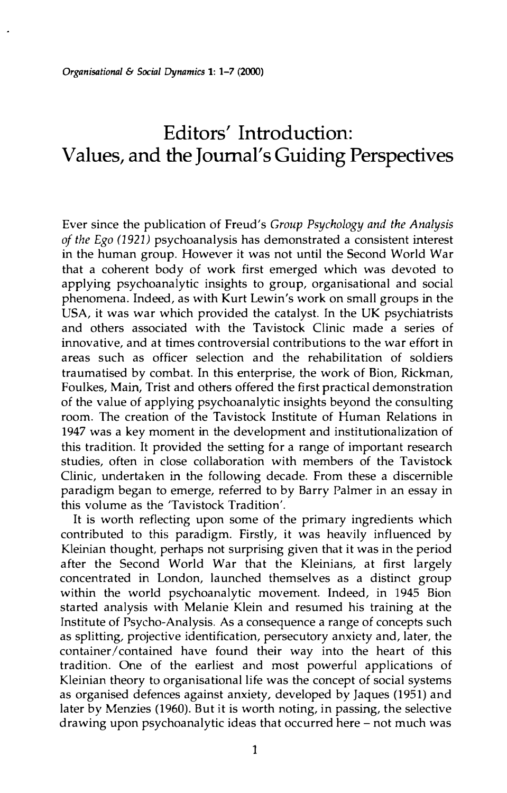# **Editors' Introduction: Values, and the Journal's Guiding Perspectives**

Ever since the publication of Freud's *Group Psychology and the Analysis of the Ego (1921)* psychoanalysis has demonstrated a consistent interest in the human group. However it was not until the Second World War that a coherent body of work first emerged which was devoted to applying psychoanalytic insights to group, organisational and social phenomena. Indeed, as with Kurt Lewin's work on small groups in the USA, it was war which provided the catalyst. In the UK psychiatrists and others associated with the Tavistock Clinic made a series of innovative, and at times controversial contributions to the war effort in areas such as officer selection and the rehabilitation of soldiers traumatised by combat. In this enterprise, the work of Bion, Rickman, Foulkes, Main, Trist and others offered the first practical demonstration of the value of applying psychoanalytic insights beyond the consulting room. The creation of the Tavistock Institute of Human Relations in 1947 was a key moment in the development and institutionalization of this tradition. It provided the setting for a range of important research studies, often in close collaboration with members of the Tavistock Clinic, undertaken in the following decade. From these a discernible paradigm began to emerge, referred to by Barry Palmer in an essay in this volume as the 'Tavistock Tradition'.

It is worth reflecting upon some of the primary ingredients which contributed to this paradigm. Firstly, it was heavily influenced by Kleinian thought, perhaps not surprising given that it was in the period after the Second World War that the Kleinians, at first largely concentrated in London, launched themselves as a distinct group within the world psychoanalytic movement. Indeed, in 1945 Bion started analysis with Melanie Klein and resumed his training at the Institute of Psycho-Analysis. As a consequence a range of concepts such as splitting, projective identification, persecutory anxiety and, later, the container/ contained have found their way into the heart of this tradition. One of the earliest and most powerful applications of Kleinian theory to organisational life was the concept of social systems as organised defences against anxiety, developed by Jaques (1951) and later by Menzies (1960). But it is worth noting, in passing, the selective drawing upon psychoanalytic ideas that occurred here – not much was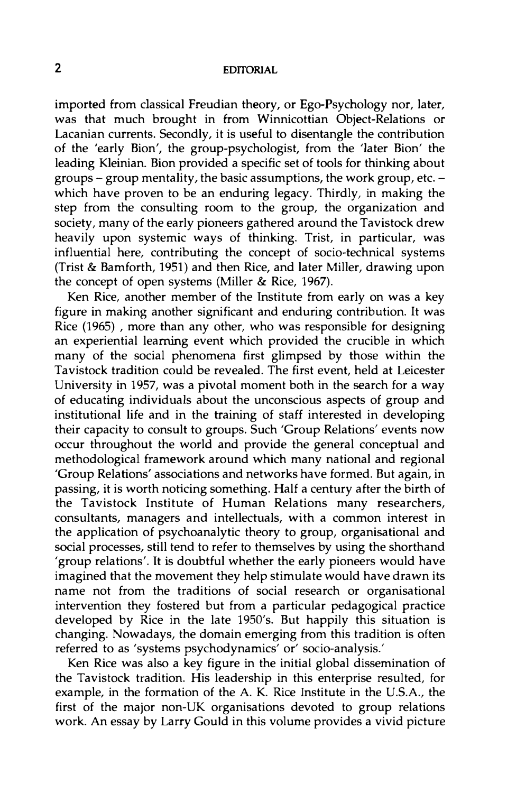## **2 EDITORIAL**

imported from classical Freudian theory, or Ego-Psychology nor, later, was that much brought in from Winnicottian Object-Relations or Lacanian currents. Secondly, it is useful to disentangle the contribution of the 'early Bion', the group-psychologist, from the 'later Bion' the leading Kleinian. Bion provided a specific set of tools for thinking about groups - group mentality, the basic assumptions, the work group, etc. which have proven to be an enduring legacy. Thirdly, in making the step from the consulting room to the group, the organization and society, many of the early pioneers gathered around the Tavistock drew heavily upon systemic ways of thinking. Trist, in particular, was influential here, contributing the concept of socio-technical systems (Trist & Bamforth, 1951) and then Rice, and later Miller, drawing upon the concept of open systems (Miller & Rice, 1967).

Ken Rice, another member of the Institute from early on was a key figure in making another significant and enduring contribution. It was Rice (1965) , more than any other, who was responsible for designing an experiential learning event which provided the crucible in which many of the social phenomena first glimpsed by those within the Tavistock tradition could be revealed. The first event, held at Leicester University in 1957, was a pivotal moment both in the search for a way of educating individuals about the unconscious aspects of group and institutional life and in the training of staff interested in developing their capacity to consult to groups. Such 'Group Relations' events now occur throughout the world and provide the general conceptual and methodological framework around which many national and regional 'Group Relations' associations and networks have formed. But again, in passing, it is worth noticing something. Half a century after the birth of the Tavistock Institute of Human Relations many researchers, consultants, managers and intellectuals, with a common interest in the application of psychoanalytic theory to group, organisational and social processes, still tend to refer to themselves by using the shorthand 'group relations'. It is doubtful whether the early pioneers would have imagined that the movement they help stimulate would have drawn its name not from the traditions of social research or organisational intervention they fostered but from a particular pedagogical practice developed by Rice in the late 1950's. But happily this situation is changing. Nowadays, the domain emerging from this tradition is often referred to as 'systems psychodynamics' or' socio-analysis.'

Ken Rice was also a key figure in the initial global dissemination of the Tavistock tradition. His leadership in this enterprise resulted, for example, in the formation of the A. K. Rice Institute in the U.S.A., the first of the major non-UK organisations devoted to group relations work. An essay by Larry Gould in this volume provides a vivid picture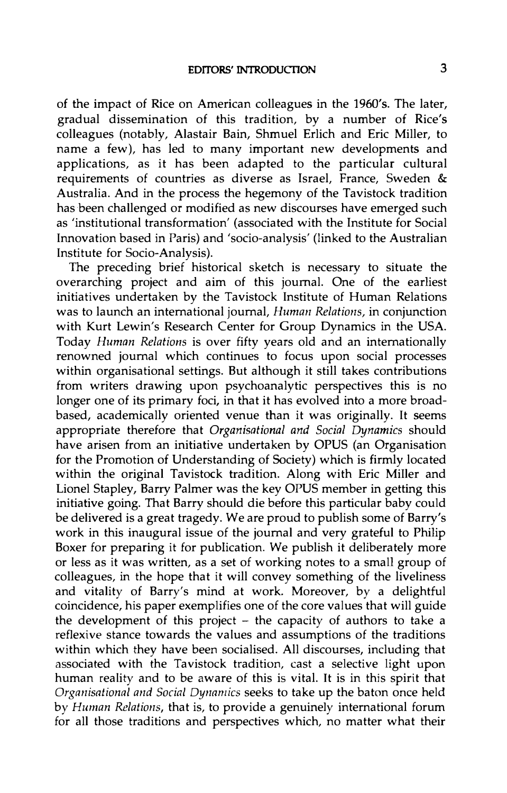of the impact of Rice on American colleagues in the 1960's. The later, gradual dissemination of this tradition, by a number of Rice's colleagues (notably, Alastair Bain, Shmuel Erlich and Eric Miller, to name a few), has led to many important new developments and applications, as it has been adapted to the particular cultural requirements of countries as diverse as Israel, France, Sweden & Australia. And in the process the hegemony of the Tavistock tradition has been challenged or modified as new discourses have emerged such as 'institutional transformation' (associated with the Institute for Social Innovation based in Paris) and 'socio-analysis' (linked to the Australian Institute for Socio-Analysis).

The preceding brief historical sketch is necessary to situate the overarching project and aim of this journal. One of the earliest initiatives undertaken by the Tavistock Institute of Human Relations was to launch an international journal, *Human Relations,* in conjunction with Kurt Lewin's Research Center for Group Dynamics in the USA. Today *Human Relations* is over fifty years old and an internationally renowned journal which continues to focus upon social processes within organisational settings. But although it still takes contributions from writers drawing upon psychoanalytic perspectives this is no longer one of its primary foci, in that it has evolved into a more broadbased, academically oriented venue than it was originally. It seems appropriate therefore that *Organisational and Social Dynamics* should have arisen from an initiative undertaken by OPUS (an Organisation for the Promotion of Understanding of Society) which is firmly located within the original Tavistock tradition. Along with Eric Miller and Lionel Stapley, Barry Palmer was the key OPUS member in getting this initiative going. That Barry should die before this particular baby could be delivered is a great tragedy. We are proud to publish some of Barry's work in this inaugural issue of the journal and very grateful to Philip Boxer for preparing it for publication. We publish it deliberately more or less as it was written, as a set of working notes to a small group of colleagues, in the hope that it will convey something of the liveliness and vitality of Barry's mind at work. Moreover, by a delightful coincidence, his paper exemplifies one of the core values that will guide the development of this project – the capacity of authors to take a reflexive stance towards the values and assumptions of the traditions within which they have been socialised. All discourses, including that associated with the Tavistock tradition, cast a selective light upon human reality and to be aware of this is vital. It is in this spirit that *Organisational and Social Dynamics* seeks to take up the baton once held by *Human Relations,* that is, to provide a genuinely international forum for all those traditions and perspectives which, no matter what their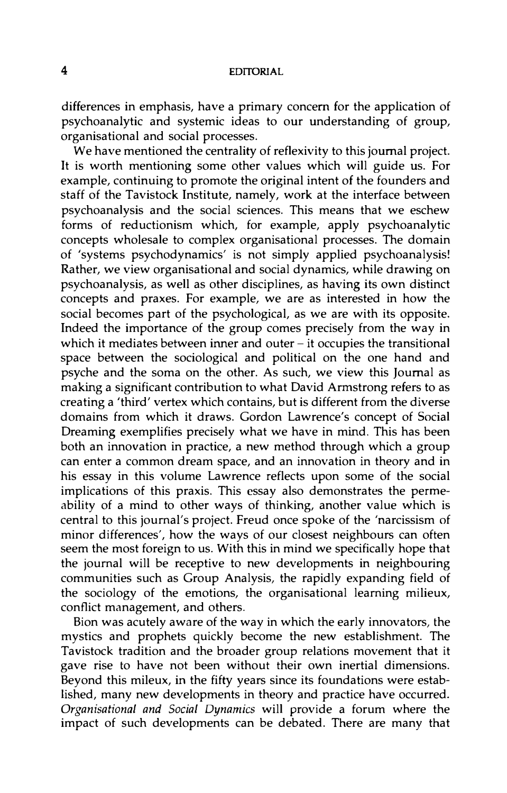### **4 EDITORIAL**

differences in emphasis, have a primary concern for the application of psychoanalytic and systemic ideas to our understanding of group, organisational and social processes.

We have mentioned the centrality of reflexivity to this journal project. It is worth mentioning some other values which will guide us. For example, continuing to promote the original intent of the founders and staff of the Tavistock Institute, namely, work at the interface between psychoanalysis and the social sciences. This means that we eschew forms of reductionism which, for example, apply psychoanalytic concepts wholesale to complex organisational processes. The domain of 'systems psychodynamics' is not simply applied psychoanalysis! Rather, we view organisational and social dynamics, while drawing on psychoanalysis, as well as other disciplines, as having its own distinct concepts and praxes. For example, we are as interested in how the social becomes part of the psychological, as we are with its opposite. Indeed the importance of the group comes precisely from the way in which it mediates between inner and outer  $-$  it occupies the transitional space between the sociological and political on the one hand and psyche and the soma on the other. As such, we view this Journal as making a significant contribution to what David Armstrong refers to as creating a 'third' vertex which contains, but is different from the diverse domains from which it draws. Gordon Lawrence's concept of Social Dreaming exemplifies precisely what we have in mind. This has been both an innovation in practice, a new method through which a group can enter a common dream space, and an innovation in theory and in his essay in this volume Lawrence reflects upon some of the social implications of this praxis. This essay also demonstrates the permeability of a mind to other ways of thinking, another value which is central to this journal's project. Freud once spoke of the 'narcissism of minor differences', how the ways of our closest neighbours can often seem the most foreign to us. With this in mind we specifically hope that the journal will be receptive to new developments in neighbouring communities such as Group Analysis, the rapidly expanding field of the sociology of the emotions, the organisational learning milieux, conflict management, and others.

Bion was acutely aware of the way in which the early innovators, the mystics and prophets quickly become the new establishment. The Tavistock tradition and the broader group relations movement that it gave rise to have not been without their own inertial dimensions. Beyond this mileux, in the fifty years since its foundations were established, many new developments in theory and practice have occurred. *Organisational and Social Dynamics* will provide a forum where the impact of such developments can be debated. There are many that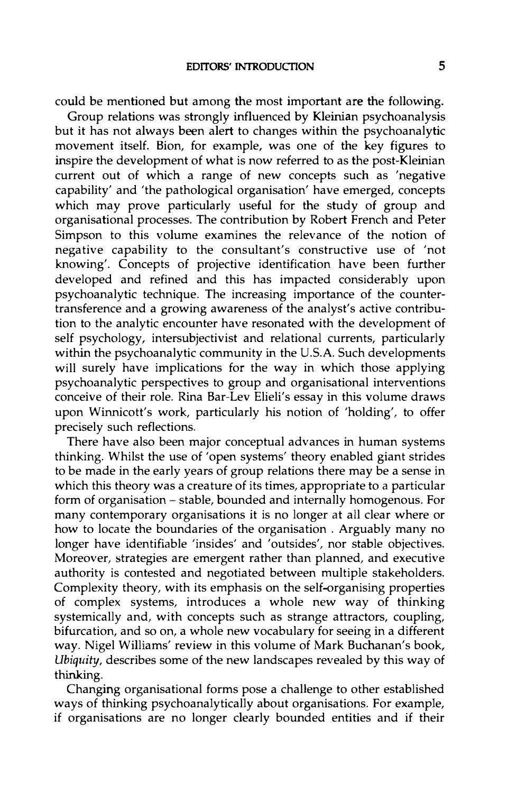could be mentioned but among the most important are the following.

Group relations was strongly influenced by Kleinian psychoanalysis but it has not always been alert to changes within the psychoanalytic movement itself. Bion, for example, was one of the key figures to inspire the development of what is now referred to as the post-Kleinian current out of which a range of new concepts such as 'negative capability' and 'the pathological organisation' have emerged, concepts which may prove particularly useful for the study of group and organisational processes. The contribution by Robert French and Peter Simpson to this volume examines the relevance of the notion of negative capability to the consultant's constructive use of 'not knowing'. Concepts of projective identification have been further developed and refined and this has impacted considerably upon psychoanalytic technique. The increasing importance of the countertransference and a growing awareness of the analyst's active contribution to the analytic encounter have resonated with the development of self psychology, intersubjectivist and relational currents, particularly within the psychoanalytic community in the U.S.A. Such developments will surely have implications for the way in which those applying psychoanalytic perspectives to group and organisational interventions conceive of their role. Rina Bar-Lev Elieli's essay in this volume draws upon Winnicott's work, particularly his notion of 'holding', to offer precisely such reflections.

There have also been major conceptual advances in human systems thinking. Whilst the use of 'open systems' theory enabled giant strides to be made in the early years of group relations there may be a sense in which this theory was a creature of its times, appropriate to a particular form of organisation – stable, bounded and internally homogenous. For many contemporary organisations it is no longer at all clear where or how to locate the boundaries of the organisation . Arguably many no longer have identifiable 'insides' and 'outsides', nor stable objectives. Moreover, strategies are emergent rather than planned, and executive authority is contested and negotiated between multiple stakeholders. Complexity theory, with its emphasis on the self organising properties of complex systems, introduces a whole new way of thinking systemically and, with concepts such as strange attractors, coupling, bifurcation, and so on, a whole new vocabulary for seeing in a different way. Nigel Williams' review in this volume of Mark Buchanan's book, *Ubiquity,* describes some of the new landscapes revealed by this way of thinking.

Changing organisational forms pose a challenge to other established ways of thinking psychoanalytically about organisations. For example, if organisations are no longer clearly bounded entities and if their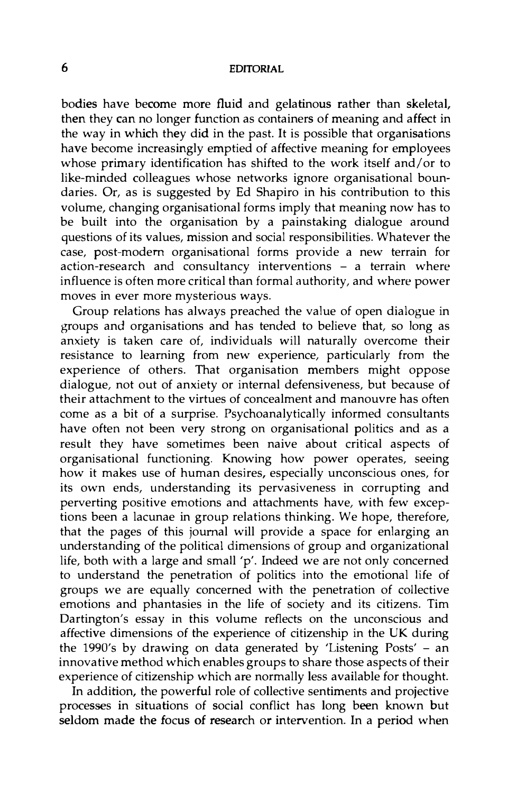### **6 EDITORIAL**

bodies have become more fluid and gelatinous rather than skeletal, then they can no longer function as containers of meaning and affect in the way in which they did in the past. It is possible that organisations have become increasingly emptied of affective meaning for employees whose primary identification has shifted to the work itself and/or to like-minded colleagues whose networks ignore organisational boundaries. Or, as is suggested by Ed Shapiro in his contribution to this volume, changing organisational forms imply that meaning now has to be built into the organisation by a painstaking dialogue around questions of its values, mission and social responsibilities. Whatever the case, post-modem organisational forms provide a new terrain for action-research and consultancy interventions - a terrain where influence is often more critical than formal authority, and where power moves in ever more mysterious ways.

Group relations has always preached the value of open dialogue in groups and organisations and has tended to believe that, so long as anxiety is taken care of, individuals will naturally overcome their resistance to learning from new experience, particularly from the experience of others. That organisation members might oppose dialogue, not out of anxiety or internal defensiveness, but because of their attachment to the virtues of concealment and manouvre has often come as a bit of a surprise. Psychoanalytically informed consultants have often not been very strong on organisational politics and as a result they have sometimes been naive about critical aspects of organisational functioning. Knowing how power operates, seeing how it makes use of human desires, especially unconscious ones, for its own ends, understanding its pervasiveness in corrupting and perverting positive emotions and attachments have, with few exceptions been a lacunae in group relations thinking. We hope, therefore, that the pages of this journal will provide a space for enlarging an understanding of the political dimensions of group and organizational life, both with a large and small 'p'. Indeed we are not only concerned to understand the penetration of politics into the emotional life of groups we are equally concerned with the penetration of collective emotions and phantasies in the life of society and its citizens. Tim Dartington's essay in this volume reflects on the unconscious and affective dimensions of the experience of citizenship in the UK during the 1990's by drawing on data generated by 'Listening Posts' - an innovative method which enables groups to share those aspects of their experience of citizenship which are normally less available for thought.

In addition, the powerful role of collective sentiments and projective processes in situations of social conflict has long been known but seldom made the focus of research or intervention. In a period when